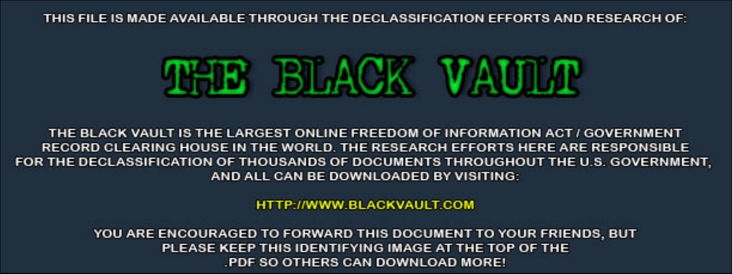THIS FILE IS MADE AVAILABLE THROUGH THE DECLASSIFICATION EFFORTS AND RESEARCH OF:



THE BLACK VAULT IS THE LARGEST ONLINE FREEDOM OF INFORMATION ACT / GOVERNMENT RECORD CLEARING HOUSE IN THE WORLD. THE RESEARCH EFFORTS HERE ARE RESPONSIBLE FOR THE DECLASSIFICATION OF THOUSANDS OF DOCUMENTS THROUGHOUT THE U.S. GOVERNMENT, AND ALL CAN BE DOWNLOADED BY VISITING:

**HTTP://WWW.BLACKVAULT.COM** 

YOU ARE ENCOURAGED TO FORWARD THIS DOCUMENT TO YOUR FRIENDS, BUT PLEASE KEEP THIS IDENTIFYING IMAGE AT THE TOP OF THE PDF SO OTHERS CAN DOWNLOAD MORE!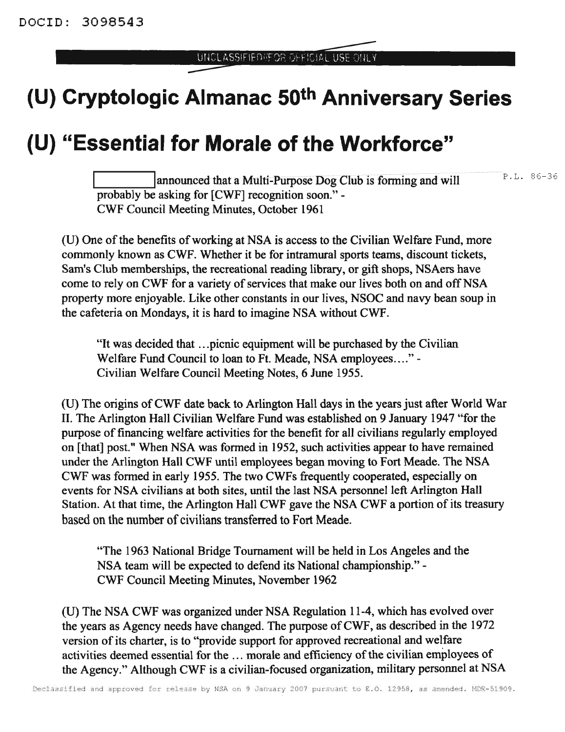## **(U) Cryptologic Almanac 50th Anniversary Series**

## **(U) "Essential for Morale of the Workforce"**

announced that a Multi-Purpose Dog Club is forming and will probably be asking for [CWF] recognition soon."- CWF Council Meeting Minutes, October 1961 P.L. 86-36

(U) One of the benefits of working at NSA is access to the Civilian Welfare Fund, more commonly known as CWF. Whether it be for intramural sports teams, discount tickets, Sam's Club memberships, the recreational reading library, or gift shops, NSAers have come to rely on CWF for a variety of services that make our lives both on and off NSA property more enjoyable. Like other constants in our lives, NSOC and navy bean soup in the cafeteria on Mondays, it is hard to imagine NSA without CWF.

"It was decided that ...picnic equipment will be purchased by the Civilian Welfare Fund Council to loan to Ft. Meade, NSA employees...."- Civilian Welfare Council Meeting Notes, 6 June 1955.

(U) The origins ofCWF date back to Arlington Hall days in the years just after World War II. The Arlington Hall Civilian Welfare Fund was established on 9 January 1947 "for the purpose of financing welfare activities for the benefit for all civilians regularly employed on [that] post." When NSA was fonned in 1952, such activities appear to have remained under the Arlington Hall CWF until employees began moving to Fort Meade. The NSA CWF was fonned in early 1955. The two CWFs frequently cooperated, especially on events for NSA civilians at both sites, until the last NSA personnel left Arlington Hall Station. At that time, the Arlington Hall CWF gave the NSA CWF a portion of its treasury based on the number of civilians transferred to Fort Meade.

"The 1963 National Bridge Tournament will be held in Los Angeles and the NSA team will be expected to defend its National championship."- CWF Council Meeting Minutes, November 1962

(U) The NSA CWF was organized under NSA Regulation 11-4, which has evolved over the years as Agency needs have changed. The purpose of CWF, as described in the  $1972$ version of its charter, is to "provide support for approved recreational and welfare activities deemed essential for the ... morale and efficiency of the civilian employees of the Agency." Although CWF is a civilian-focused organization, military personnel at NSA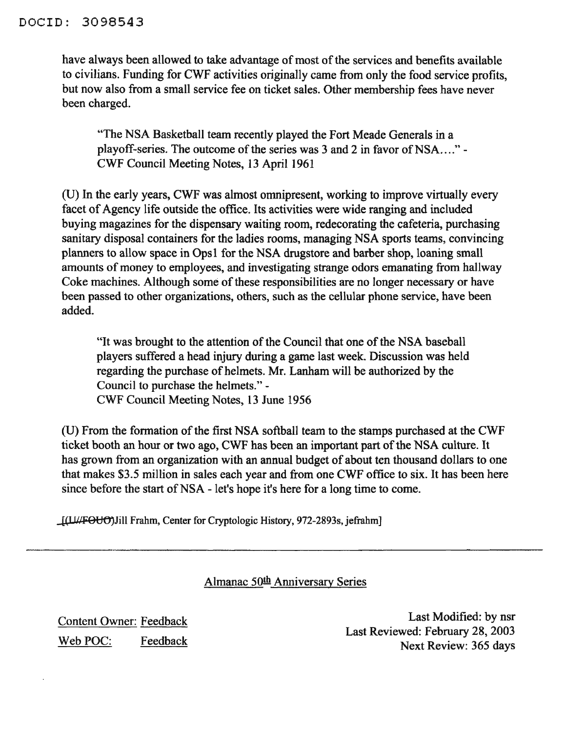have always been allowed to take advantage of most of the services and benefits available to civilians. Funding for CWF activities originally came from only the food service profits, but now also from a small service fee on ticket sales. Other membership fees have never been charged.

"The NSA Basketball team recently played the Fort Meade Generals in a playoff-series. The outcome of the series was  $3$  and  $2$  in favor of NSA...." -CWF Council Meeting Notes, 13 April 1961

(D) In the early years, CWF was almost omnipresent, working to improve virtually every facet of Agency life outside the office. Its activities were wide ranging and included buying magazines for the dispensary waiting room, redecorating the cafeteria, purchasing sanitary disposal containers for the ladies rooms, managing NSA sports teams, convincing planners to allow space in Ops1 for the NSA drugstore and barber shop, loaning small amounts of money to employees, and investigating strange odors emanating from hallway Coke machines. Although some of these responsibilities are no longer necessary or have been passed to other organizations, others, such as the cellular phone service, have been added.

"It was brought to the attention of the Council that one of the NSA baseball players suffered a head injury during a game last week. Discussion was held regarding the purchase of helmets. Mr. Lanham will be authorized by the Council to purchase the helmets." - CWF Council Meeting Notes, 13 June 1956

(U) From the formation of the first NSA softball team to the stamps purchased at the CWF ticket booth an hour or two ago, CWF has been an important part of the NSA culture. It has grown from an organization with an annual budget of about ten thousand dollars to one that makes \$3.5 million in sales each year and from one CWF office to six. It has been here since before the start of NSA - let's hope it's here for a long time to come.

JULFOUO) Jill Frahm, Center for Cryptologic History, 972-2893s, jefrahm]

Almanac 50th Anniversary Series

Content Owner: Feedback Web POC: Feedback

Last Modified: by nsr Last Reviewed: February 28, 2003 Next Review: 365 days